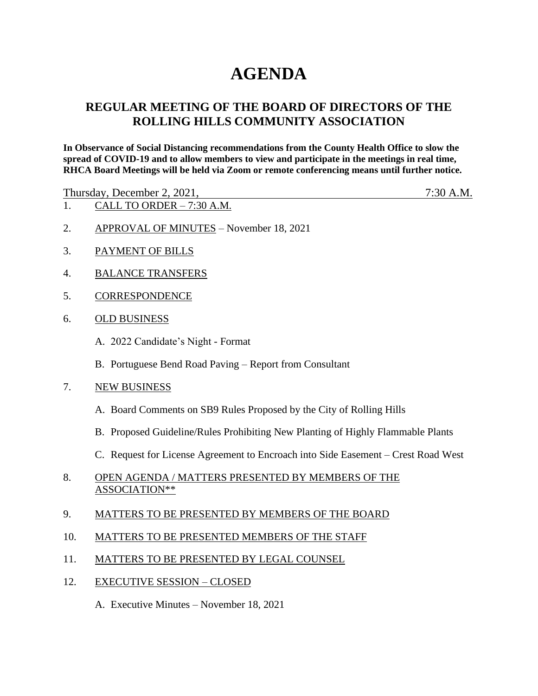## **AGENDA**

## **REGULAR MEETING OF THE BOARD OF DIRECTORS OF THE ROLLING HILLS COMMUNITY ASSOCIATION**

**In Observance of Social Distancing recommendations from the County Health Office to slow the spread of COVID-19 and to allow members to view and participate in the meetings in real time, RHCA Board Meetings will be held via Zoom or remote conferencing means until further notice.** 

Thursday, December 2, 2021, 7:30 A.M.

- 1. CALL TO ORDER 7:30 A.M.
- 2. APPROVAL OF MINUTES November 18, 2021
- 3. PAYMENT OF BILLS
- 4. BALANCE TRANSFERS
- 5. CORRESPONDENCE
- 6. OLD BUSINESS
	- A. 2022 Candidate's Night Format
	- B. Portuguese Bend Road Paving Report from Consultant
- 7. NEW BUSINESS
	- A. Board Comments on SB9 Rules Proposed by the City of Rolling Hills
	- B. Proposed Guideline/Rules Prohibiting New Planting of Highly Flammable Plants
	- C. Request for License Agreement to Encroach into Side Easement Crest Road West
- 8. OPEN AGENDA / MATTERS PRESENTED BY MEMBERS OF THE ASSOCIATION\*\*
- 9. MATTERS TO BE PRESENTED BY MEMBERS OF THE BOARD
- 10. MATTERS TO BE PRESENTED MEMBERS OF THE STAFF
- 11. MATTERS TO BE PRESENTED BY LEGAL COUNSEL
- 12. EXECUTIVE SESSION CLOSED
	- A. Executive Minutes November 18, 2021